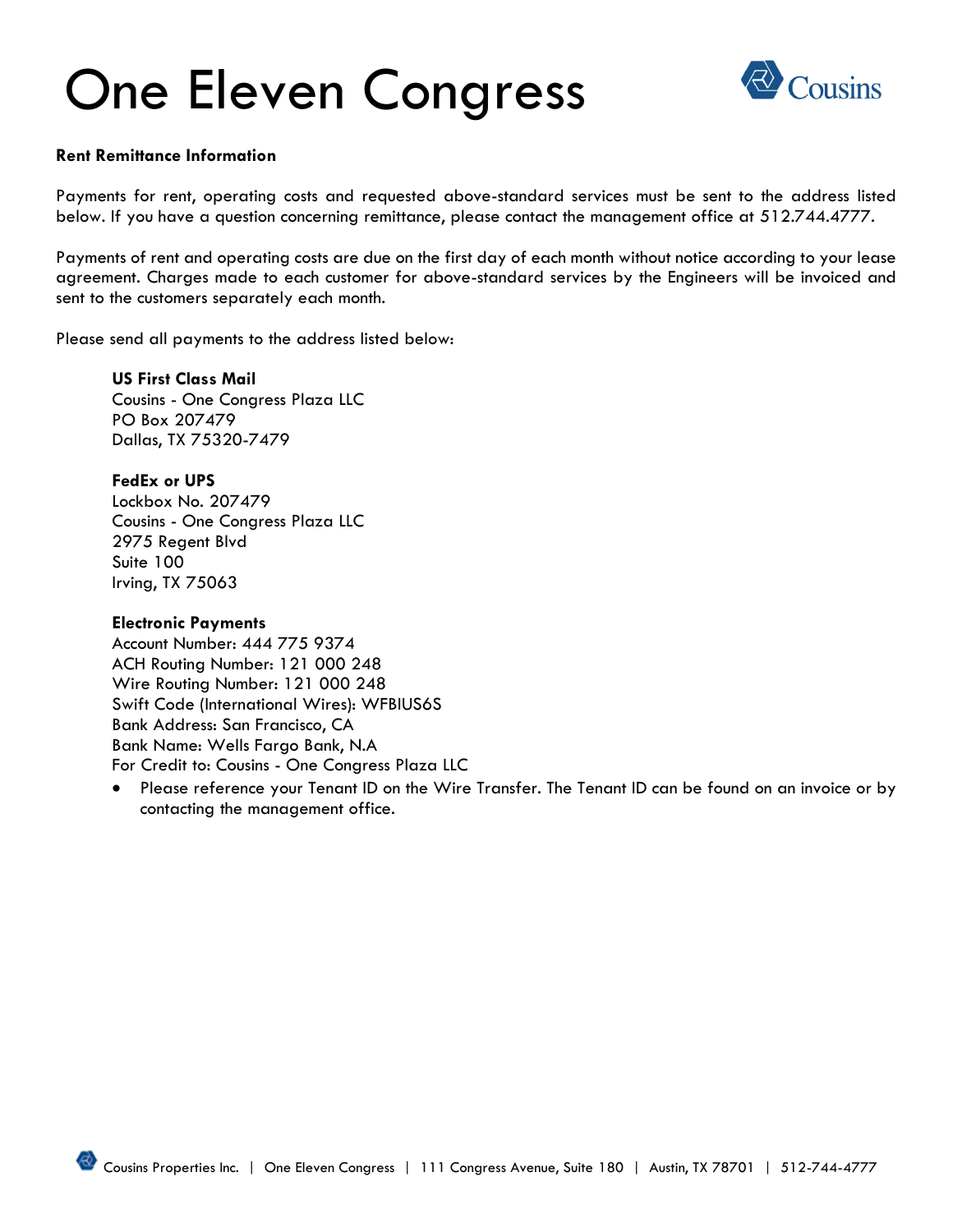# One Eleven Congress



### **Rent Remittance Information**

Payments for rent, operating costs and requested above-standard services must be sent to the address listed below. If you have a question concerning remittance, please contact the management office at 512.744.4777.

Payments of rent and operating costs are due on the first day of each month without notice according to your lease agreement. Charges made to each customer for above-standard services by the Engineers will be invoiced and sent to the customers separately each month.

Please send all payments to the address listed below:

**US First Class Mail** Cousins - One Congress Plaza LLC PO Box 207479 Dallas, TX 75320-7479

### **FedEx or UPS**

Lockbox No. 207479 Cousins - One Congress Plaza LLC 2975 Regent Blvd Suite 100 Irving, TX 75063

### **Electronic Payments**

Account Number: 444 775 9374 ACH Routing Number: 121 000 248 Wire Routing Number: 121 000 248 Swift Code (International Wires): WFBIUS6S Bank Address: San Francisco, CA Bank Name: Wells Fargo Bank, N.A For Credit to: Cousins - One Congress Plaza LLC

• Please reference your Tenant ID on the Wire Transfer. The Tenant ID can be found on an invoice or by contacting the management office.